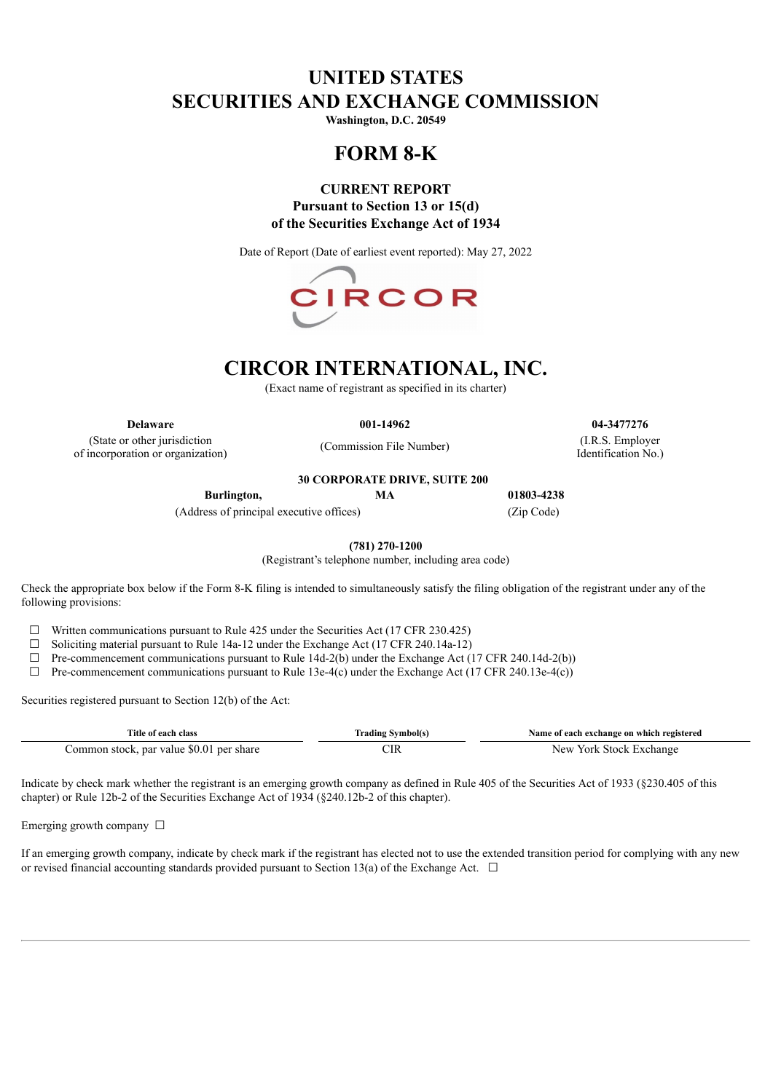## **UNITED STATES SECURITIES AND EXCHANGE COMMISSION**

**Washington, D.C. 20549**

# **FORM 8-K**

## **CURRENT REPORT Pursuant to Section 13 or 15(d) of the Securities Exchange Act of 1934**

Date of Report (Date of earliest event reported): May 27, 2022



# **CIRCOR INTERNATIONAL, INC.**

(Exact name of registrant as specified in its charter)

(State or other jurisdiction of incorporation or organization)

**30 CORPORATE DRIVE, SUITE 200**

(Commission File Number)

**Delaware 001-14962 04-3477276** (I.R.S. Employer

Identification No.)

**Burlington, MA 01803-4238**

(Address of principal executive offices) (Zip Code)

**(781) 270-1200**

(Registrant's telephone number, including area code)

Check the appropriate box below if the Form 8-K filing is intended to simultaneously satisfy the filing obligation of the registrant under any of the following provisions:

 $\Box$  Written communications pursuant to Rule 425 under the Securities Act (17 CFR 230.425)

☐ Soliciting material pursuant to Rule 14a-12 under the Exchange Act (17 CFR 240.14a-12)

 $\Box$  Pre-commencement communications pursuant to Rule 14d-2(b) under the Exchange Act (17 CFR 240.14d-2(b))

 $\Box$  Pre-commencement communications pursuant to Rule 13e-4(c) under the Exchange Act (17 CFR 240.13e-4(c))

Securities registered pursuant to Section 12(b) of the Act:

| Title of each class                      | Trading Symbol(s) | Name of each exchange on which registered |
|------------------------------------------|-------------------|-------------------------------------------|
| Common stock, par value \$0.01 per share |                   | New York Stock Exchange                   |

Indicate by check mark whether the registrant is an emerging growth company as defined in Rule 405 of the Securities Act of 1933 (§230.405 of this chapter) or Rule 12b-2 of the Securities Exchange Act of 1934 (§240.12b-2 of this chapter).

Emerging growth company  $\Box$ 

If an emerging growth company, indicate by check mark if the registrant has elected not to use the extended transition period for complying with any new or revised financial accounting standards provided pursuant to Section 13(a) of the Exchange Act.  $\Box$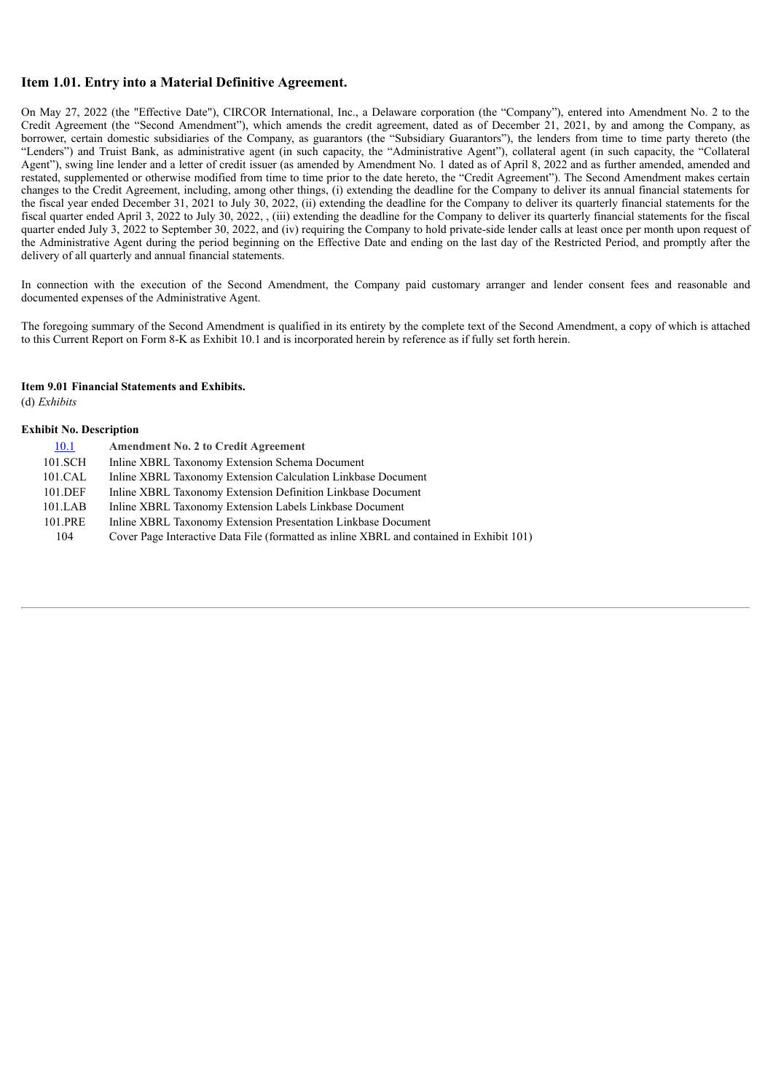### **Item 1.01. Entry into a Material Definitive Agreement.**

On May 27, 2022 (the "Effective Date"), CIRCOR International, Inc., a Delaware corporation (the "Company"), entered into Amendment No. 2 to the Credit Agreement (the "Second Amendment"), which amends the credit agreement, dated as of December 21, 2021, by and among the Company, as borrower, certain domestic subsidiaries of the Company, as guarantors (the "Subsidiary Guarantors"), the lenders from time to time party thereto (the "Lenders") and Truist Bank, as administrative agent (in such capacity, the "Administrative Agent"), collateral agent (in such capacity, the "Collateral Agent"), swing line lender and a letter of credit issuer (as amended by Amendment No. 1 dated as of April 8, 2022 and as further amended, amended and restated, supplemented or otherwise modified from time to time prior to the date hereto, the "Credit Agreement"). The Second Amendment makes certain changes to the Credit Agreement, including, among other things, (i) extending the deadline for the Company to deliver its annual financial statements for the fiscal year ended December 31, 2021 to July 30, 2022, (ii) extending the deadline for the Company to deliver its quarterly financial statements for the fiscal quarter ended April 3, 2022 to July 30, 2022, , (iii) extending the deadline for the Company to deliver its quarterly financial statements for the fiscal quarter ended July 3, 2022 to September 30, 2022, and (iv) requiring the Company to hold private-side lender calls at least once per month upon request of the Administrative Agent during the period beginning on the Effective Date and ending on the last day of the Restricted Period, and promptly after the delivery of all quarterly and annual financial statements.

In connection with the execution of the Second Amendment, the Company paid customary arranger and lender consent fees and reasonable and documented expenses of the Administrative Agent.

The foregoing summary of the Second Amendment is qualified in its entirety by the complete text of the Second Amendment, a copy of which is attached to this Current Report on Form 8-K as Exhibit 10.1 and is incorporated herein by reference as if fully set forth herein.

#### **Item 9.01 Financial Statements and Exhibits.**

(d) *Exhibits*

#### **Exhibit No. Description**

| 10.1    | <b>Amendment No. 2 to Credit Agreement</b>                                               |
|---------|------------------------------------------------------------------------------------------|
| 101.SCH | Inline XBRL Taxonomy Extension Schema Document                                           |
| 101.CAL | Inline XBRL Taxonomy Extension Calculation Linkbase Document                             |
| 101.DEF | Inline XBRL Taxonomy Extension Definition Linkbase Document                              |
| 101.LAB | Inline XBRL Taxonomy Extension Labels Linkbase Document                                  |
| 101.PRE | Inline XBRL Taxonomy Extension Presentation Linkbase Document                            |
| 104     | Cover Page Interactive Data File (formatted as inline XBRL and contained in Exhibit 101) |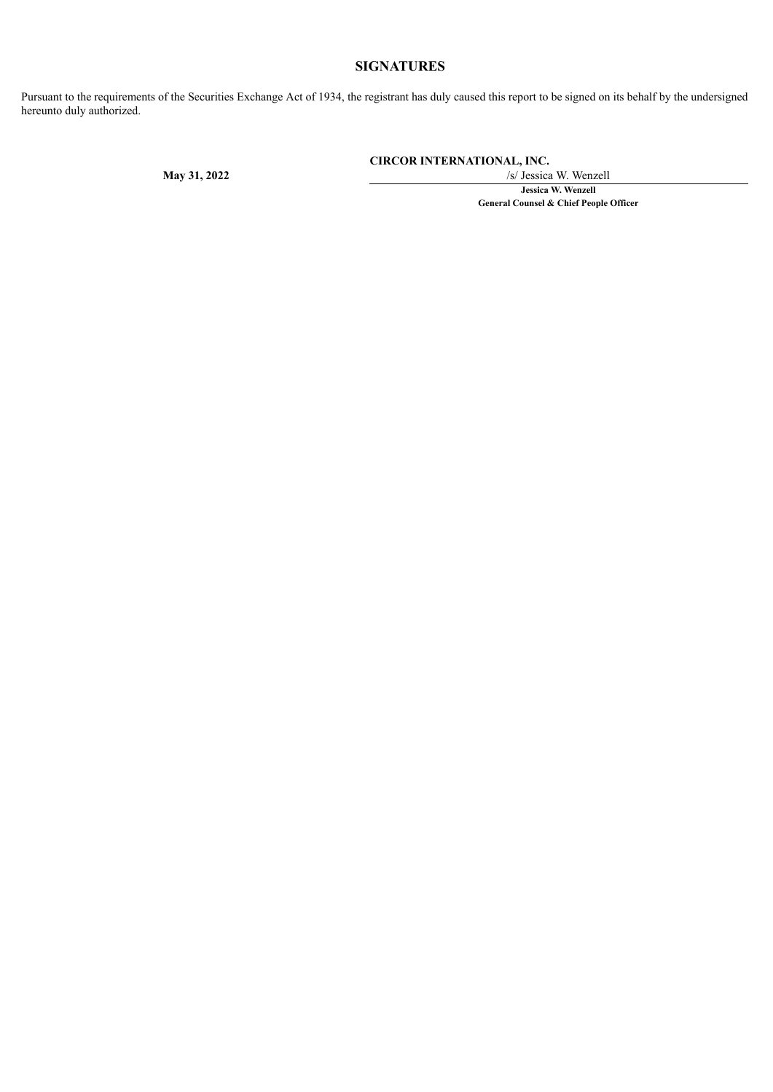## **SIGNATURES**

Pursuant to the requirements of the Securities Exchange Act of 1934, the registrant has duly caused this report to be signed on its behalf by the undersigned hereunto duly authorized.

**CIRCOR INTERNATIONAL, INC.**

**May 31, 2022** /s/ Jessica W. Wenzell **Jessica W. Wenzell General Counsel & Chief People Officer**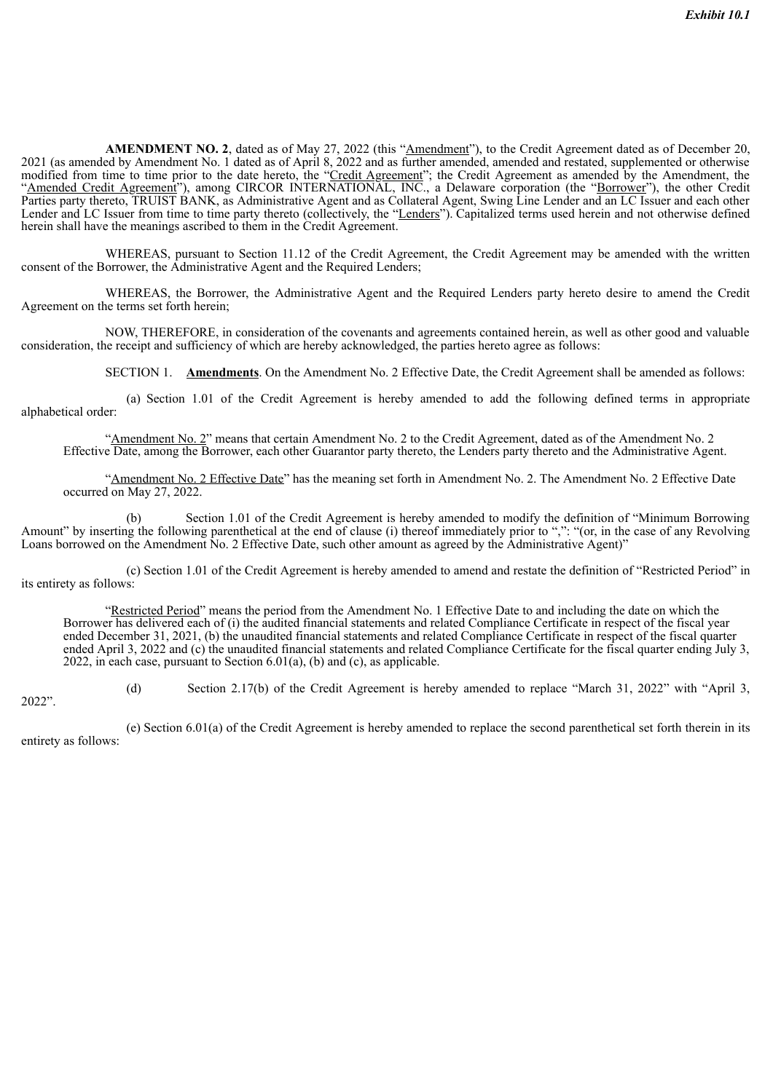<span id="page-3-0"></span>**AMENDMENT NO. 2**, dated as of May 27, 2022 (this "Amendment"), to the Credit Agreement dated as of December 20, 2021 (as amended by Amendment No. 1 dated as of April 8, 2022 and as further amended, amended and restated, supplemented or otherwise modified from time to time prior to the date hereto, the "Credit Agreement"; the Credit Agreement as amended by the Amendment, the "Amended Credit Agreement"), among CIRCOR INTERNATIONAL, INC., a Delaware corporation (the "Borrower"), the other Credit Parties party thereto, TRUIST BANK, as Administrative Agent and as Collateral Agent, Swing Line Lender and an LC Issuer and each other Lender and LC Issuer from time to time party thereto (collectively, the "Lenders"). Capitalized terms used herein and not otherwise defined herein shall have the meanings ascribed to them in the Credit Agreement.

WHEREAS, pursuant to Section 11.12 of the Credit Agreement, the Credit Agreement may be amended with the written consent of the Borrower, the Administrative Agent and the Required Lenders;

WHEREAS, the Borrower, the Administrative Agent and the Required Lenders party hereto desire to amend the Credit Agreement on the terms set forth herein;

NOW, THEREFORE, in consideration of the covenants and agreements contained herein, as well as other good and valuable consideration, the receipt and sufficiency of which are hereby acknowledged, the parties hereto agree as follows:

SECTION 1. **Amendments**. On the Amendment No. 2 Effective Date, the Credit Agreement shall be amended as follows:

(a) Section 1.01 of the Credit Agreement is hereby amended to add the following defined terms in appropriate alphabetical order:

"Amendment No. 2" means that certain Amendment No. 2 to the Credit Agreement, dated as of the Amendment No. 2 Effective Date, among the Borrower, each other Guarantor party thereto, the Lenders party thereto and the Administrative Agent.

"Amendment No. 2 Effective Date" has the meaning set forth in Amendment No. 2. The Amendment No. 2 Effective Date occurred on May 27, 2022.

(b) Section 1.01 of the Credit Agreement is hereby amended to modify the definition of "Minimum Borrowing Amount" by inserting the following parenthetical at the end of clause (i) thereof immediately prior to ",": "(or, in the case of any Revolving Loans borrowed on the Amendment No. 2 Effective Date, such other amount as agreed by the Administrative Agent)"

(c) Section 1.01 of the Credit Agreement is hereby amended to amend and restate the definition of "Restricted Period" in its entirety as follows:

"Restricted Period" means the period from the Amendment No. 1 Effective Date to and including the date on which the Borrower has delivered each of (i) the audited financial statements and related Compliance Certificate in respect of the fiscal year ended December 31, 2021, (b) the unaudited financial statements and related Compliance Certificate in respect of the fiscal quarter ended April 3, 2022 and (c) the unaudited financial statements and related Compliance Certificate for the fiscal quarter ending July 3, 2022, in each case, pursuant to Section 6.01(a), (b) and (c), as applicable.

(d) Section 2.17(b) of the Credit Agreement is hereby amended to replace "March 31, 2022" with "April 3,

2022".

(e) Section 6.01(a) of the Credit Agreement is hereby amended to replace the second parenthetical set forth therein in its entirety as follows: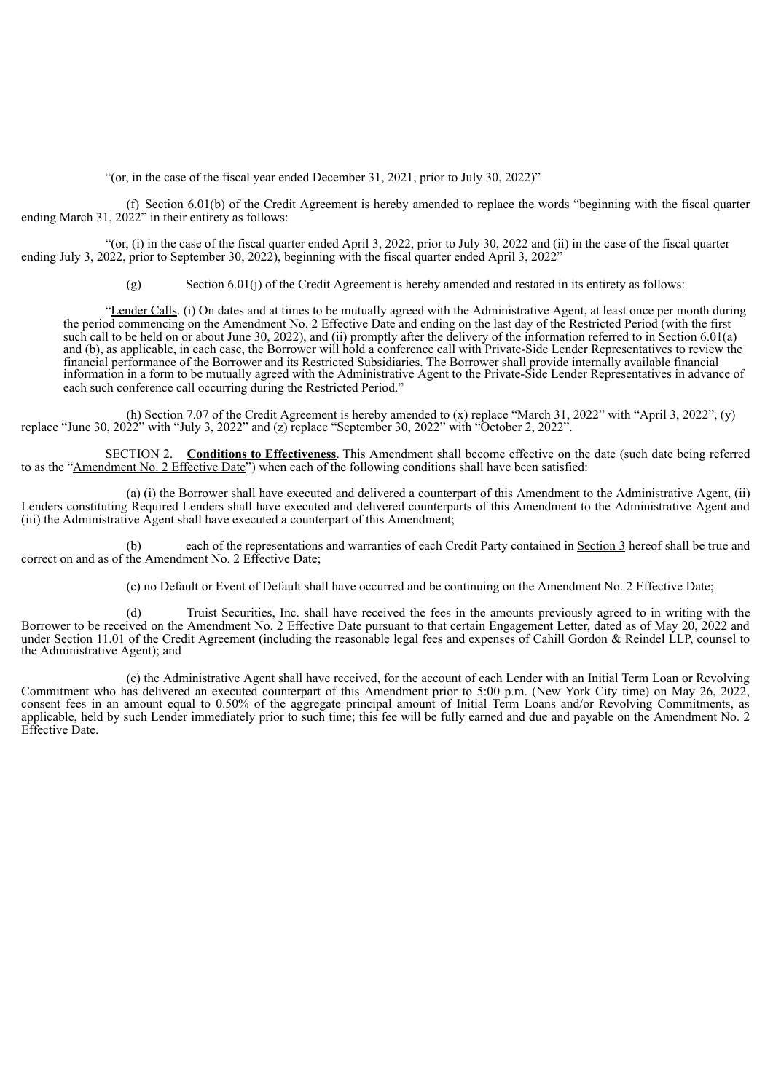"(or, in the case of the fiscal year ended December 31, 2021, prior to July 30, 2022)"

(f) Section 6.01(b) of the Credit Agreement is hereby amended to replace the words "beginning with the fiscal quarter ending March 31,  $2022$ " in their entirety as follows:

"(or, (i) in the case of the fiscal quarter ended April 3, 2022, prior to July 30, 2022 and (ii) in the case of the fiscal quarter ending July 3, 2022, prior to September 30, 2022), beginning with the fiscal quarter ended April 3, 2022"

(g) Section 6.01(j) of the Credit Agreement is hereby amended and restated in its entirety as follows:

"Lender Calls. (i) On dates and at times to be mutually agreed with the Administrative Agent, at least once per month during the period commencing on the Amendment No. 2 Effective Date and ending on the last day of the Restricted Period (with the first such call to be held on or about June 30, 2022), and (ii) promptly after the delivery of the information referred to in Section 6.01(a) and (b), as applicable, in each case, the Borrower will hold a conference call with Private-Side Lender Representatives to review the financial performance of the Borrower and its Restricted Subsidiaries. The Borrower shall provide internally available financial information in a form to be mutually agreed with the Administrative Agent to the Private-Side Lender Representatives in advance of each such conference call occurring during the Restricted Period."

(h) Section 7.07 of the Credit Agreement is hereby amended to (x) replace "March 31, 2022" with "April 3, 2022", (y) replace "June 30, 2022" with "July 3, 2022" and (z) replace "September 30, 2022" with "October 2, 2022".

SECTION 2. **Conditions to Effectiveness**. This Amendment shall become effective on the date (such date being referred to as the "Amendment No. 2 Effective Date") when each of the following conditions shall have been satisfied:

(a) (i) the Borrower shall have executed and delivered a counterpart of this Amendment to the Administrative Agent, (ii) Lenders constituting Required Lenders shall have executed and delivered counterparts of this Amendment to the Administrative Agent and (iii) the Administrative Agent shall have executed a counterpart of this Amendment;

(b) each of the representations and warranties of each Credit Party contained in Section 3 hereof shall be true and correct on and as of the Amendment No. 2 Effective Date;

(c) no Default or Event of Default shall have occurred and be continuing on the Amendment No. 2 Effective Date;

(d) Truist Securities, Inc. shall have received the fees in the amounts previously agreed to in writing with the Borrower to be received on the Amendment No. 2 Effective Date pursuant to that certain Engagement Letter, dated as of May 20, 2022 and under Section 11.01 of the Credit Agreement (including the reasonable legal fees and expenses of Cahill Gordon & Reindel LLP, counsel to the Administrative Agent); and

(e) the Administrative Agent shall have received, for the account of each Lender with an Initial Term Loan or Revolving Commitment who has delivered an executed counterpart of this Amendment prior to 5:00 p.m. (New York City time) on May 26, 2022, consent fees in an amount equal to 0.50% of the aggregate principal amount of Initial Term Loans and/or Revolving Commitments, as applicable, held by such Lender immediately prior to such time; this fee will be fully earned and due and payable on the Amendment No. 2 Effective Date.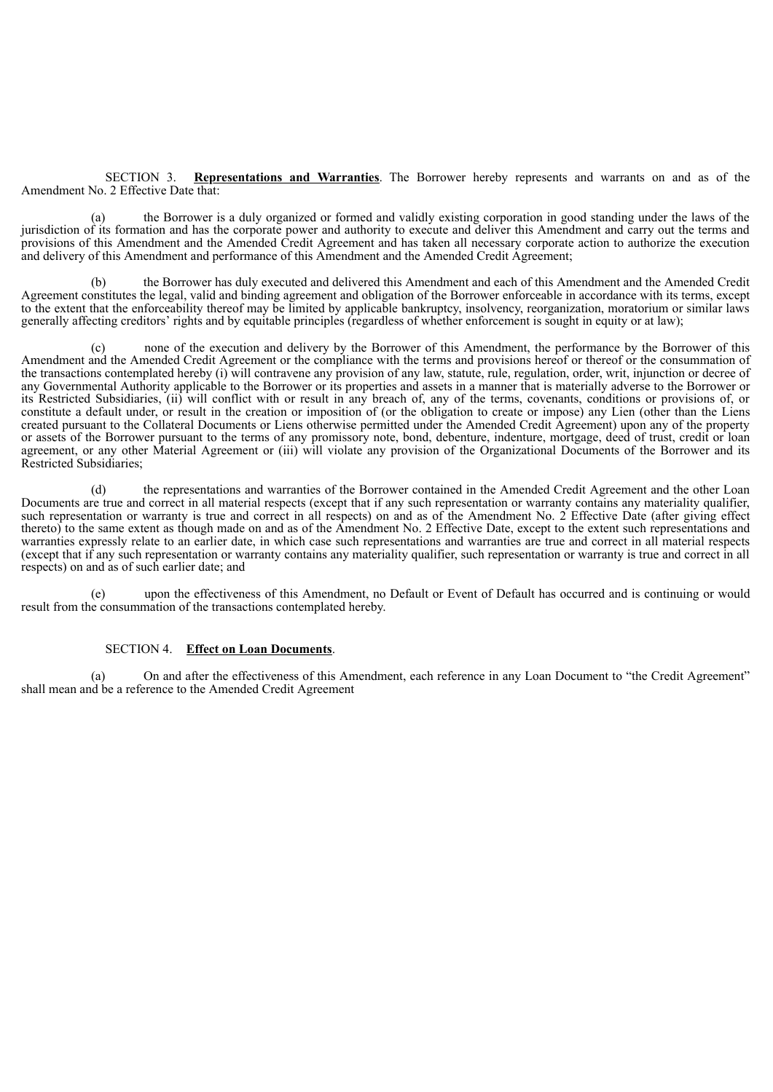SECTION 3. **Representations and Warranties**. The Borrower hereby represents and warrants on and as of the Amendment No. 2 Effective Date that:

(a) the Borrower is a duly organized or formed and validly existing corporation in good standing under the laws of the jurisdiction of its formation and has the corporate power and authority to execute and deliver this Amendment and carry out the terms and provisions of this Amendment and the Amended Credit Agreement and has taken all necessary corporate action to authorize the execution and delivery of this Amendment and performance of this Amendment and the Amended Credit Agreement;

(b) the Borrower has duly executed and delivered this Amendment and each of this Amendment and the Amended Credit Agreement constitutes the legal, valid and binding agreement and obligation of the Borrower enforceable in accordance with its terms, except to the extent that the enforceability thereof may be limited by applicable bankruptcy, insolvency, reorganization, moratorium or similar laws generally affecting creditors' rights and by equitable principles (regardless of whether enforcement is sought in equity or at law);

none of the execution and delivery by the Borrower of this Amendment, the performance by the Borrower of this Amendment and the Amended Credit Agreement or the compliance with the terms and provisions hereof or thereof or the consummation of the transactions contemplated hereby (i) will contravene any provision of any law, statute, rule, regulation, order, writ, injunction or decree of any Governmental Authority applicable to the Borrower or its properties and assets in a manner that is materially adverse to the Borrower or its Restricted Subsidiaries, (ii) will conflict with or result in any breach of, any of the terms, covenants, conditions or provisions of, or constitute a default under, or result in the creation or imposition of (or the obligation to create or impose) any Lien (other than the Liens created pursuant to the Collateral Documents or Liens otherwise permitted under the Amended Credit Agreement) upon any of the property or assets of the Borrower pursuant to the terms of any promissory note, bond, debenture, indenture, mortgage, deed of trust, credit or loan agreement, or any other Material Agreement or (iii) will violate any provision of the Organizational Documents of the Borrower and its Restricted Subsidiaries;

(d) the representations and warranties of the Borrower contained in the Amended Credit Agreement and the other Loan Documents are true and correct in all material respects (except that if any such representation or warranty contains any materiality qualifier, such representation or warranty is true and correct in all respects) on and as of the Amendment No. 2 Effective Date (after giving effect thereto) to the same extent as though made on and as of the Amendment No. 2 Effective Date, except to the extent such representations and warranties expressly relate to an earlier date, in which case such representations and warranties are true and correct in all material respects (except that if any such representation or warranty contains any materiality qualifier, such representation or warranty is true and correct in all respects) on and as of such earlier date; and

(e) upon the effectiveness of this Amendment, no Default or Event of Default has occurred and is continuing or would result from the consummation of the transactions contemplated hereby.

#### SECTION 4. **Effect on Loan Documents**.

(a) On and after the effectiveness of this Amendment, each reference in any Loan Document to "the Credit Agreement" shall mean and be a reference to the Amended Credit Agreement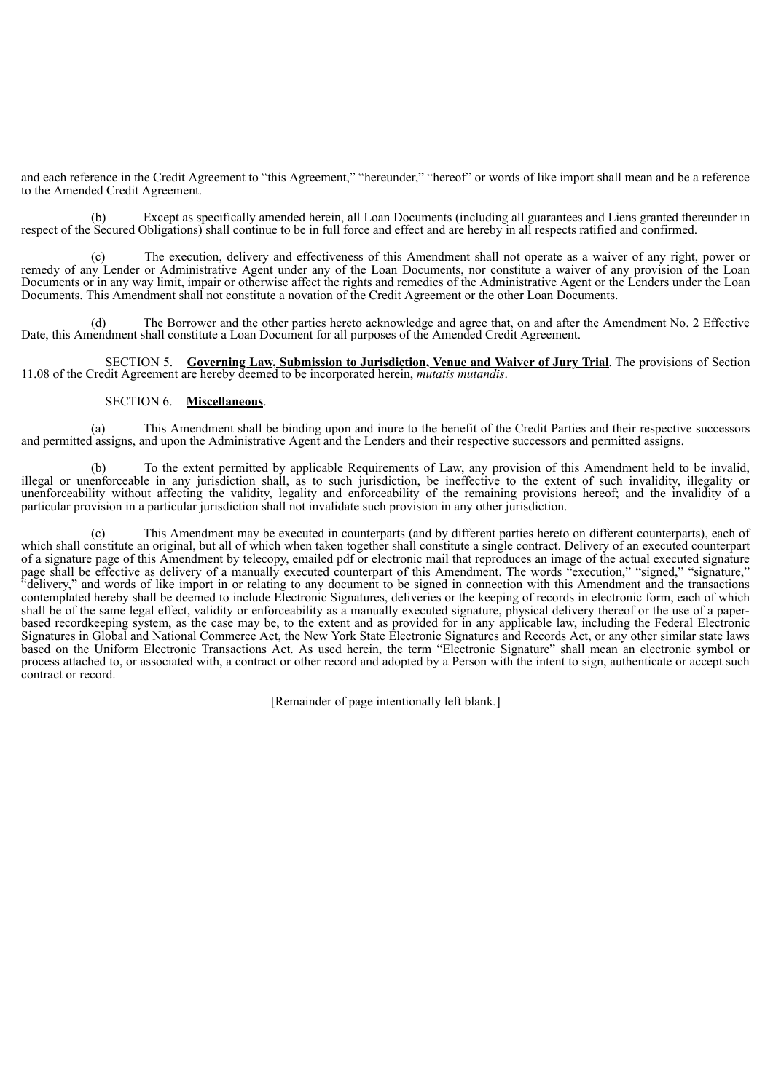and each reference in the Credit Agreement to "this Agreement," "hereunder," "hereof" or words of like import shall mean and be a reference to the Amended Credit Agreement.

Except as specifically amended herein, all Loan Documents (including all guarantees and Liens granted thereunder in respect of the Secured Obligations) shall continue to be in full force and effect and are hereby in all respects ratified and confirmed.

The execution, delivery and effectiveness of this Amendment shall not operate as a waiver of any right, power or remedy of any Lender or Administrative Agent under any of the Loan Documents, nor constitute a waiver of any provision of the Loan Documents or in any way limit, impair or otherwise affect the rights and remedies of the Administrative Agent or the Lenders under the Loan Documents. This Amendment shall not constitute a novation of the Credit Agreement or the other Loan Documents.

(d) The Borrower and the other parties hereto acknowledge and agree that, on and after the Amendment No. 2 Effective Date, this Amendment shall constitute a Loan Document for all purposes of the Amended Credit Agreement.

SECTION 5. **Governing Law, Submission to Jurisdiction, Venue and Waiver of Jury Trial**. The provisions of Section 11.08 of the Credit Agreement are hereby deemed to be incorporated herein, *mutatis mutandis*.

#### SECTION 6. **Miscellaneous**.

(a) This Amendment shall be binding upon and inure to the benefit of the Credit Parties and their respective successors and permitted assigns, and upon the Administrative Agent and the Lenders and their respective successors and permitted assigns.

(b) To the extent permitted by applicable Requirements of Law, any provision of this Amendment held to be invalid, illegal or unenforceable in any jurisdiction shall, as to such jurisdiction, be ineffective to the extent of such invalidity, illegality or unenforceability without affecting the validity, legality and enforceability of the remaining provisions hereof; and the invalidity of a particular provision in a particular jurisdiction shall not invalidate such provision in any other jurisdiction.

(c) This Amendment may be executed in counterparts (and by different parties hereto on different counterparts), each of which shall constitute an original, but all of which when taken together shall constitute a single contract. Delivery of an executed counterpart of a signature page of this Amendment by telecopy, emailed pdf or electronic mail that reproduces an image of the actual executed signature page shall be effective as delivery of a manually executed counterpart of this Amendment. The words "execution," "signed," "signature," "delivery," and words of like import in or relating to any document to be signed in connection with this Amendment and the transactions contemplated hereby shall be deemed to include Electronic Signatures, deliveries or the keeping of records in electronic form, each of which shall be of the same legal effect, validity or enforceability as a manually executed signature, physical delivery thereof or the use of a paperbased recordkeeping system, as the case may be, to the extent and as provided for in any applicable law, including the Federal Electronic Signatures in Global and National Commerce Act, the New York State Electronic Signatures and Records Act, or any other similar state laws based on the Uniform Electronic Transactions Act. As used herein, the term "Electronic Signature" shall mean an electronic symbol or process attached to, or associated with, a contract or other record and adopted by a Person with the intent to sign, authenticate or accept such contract or record.

[Remainder of page intentionally left blank*.*]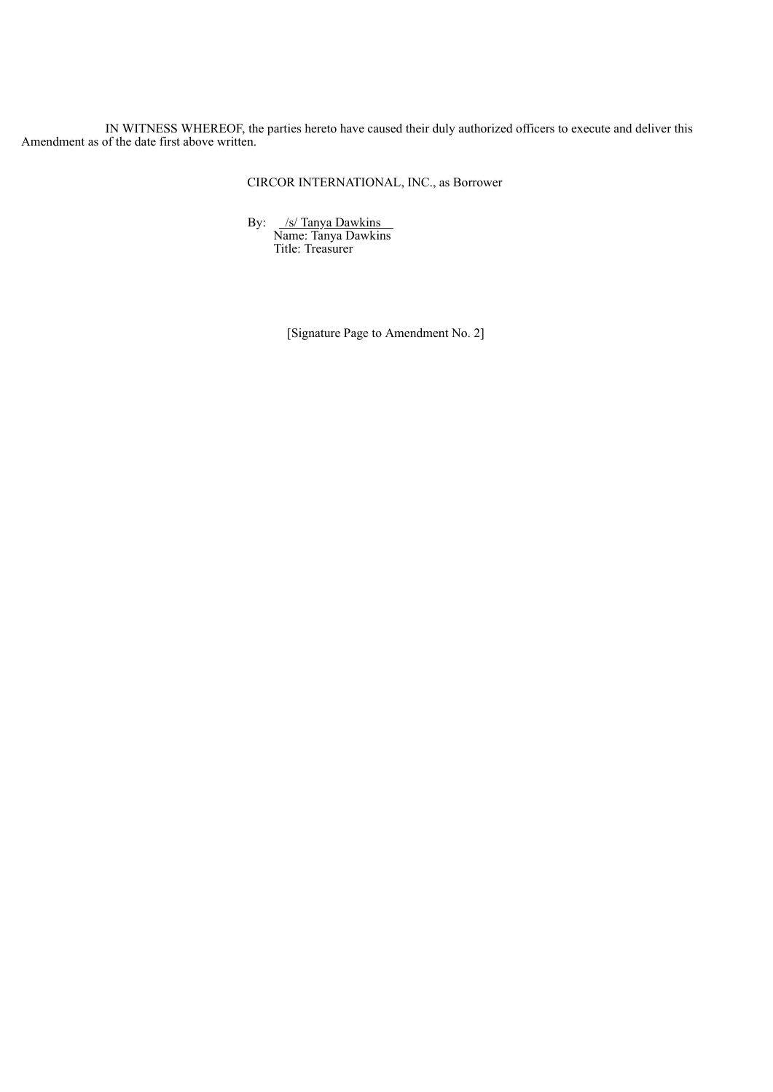IN WITNESS WHEREOF, the parties hereto have caused their duly authorized officers to execute and deliver this Amendment as of the date first above written.

CIRCOR INTERNATIONAL, INC., as Borrower

By: /s/ Tanya Dawkins Name: Tanya Dawkins Title: Treasurer

[Signature Page to Amendment No. 2]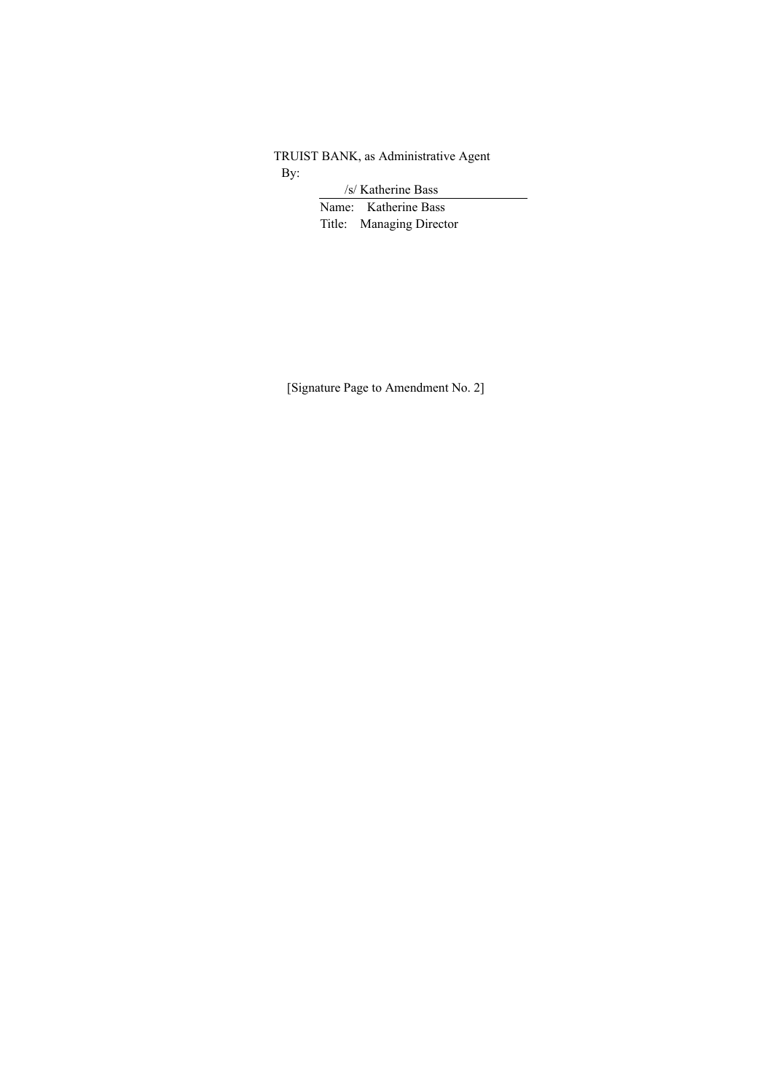TRUIST BANK, as Administrative Agent By:

/s/ Katherine Bass

Name: Katherine Bass Title: Managing Director

[Signature Page to Amendment No. 2]